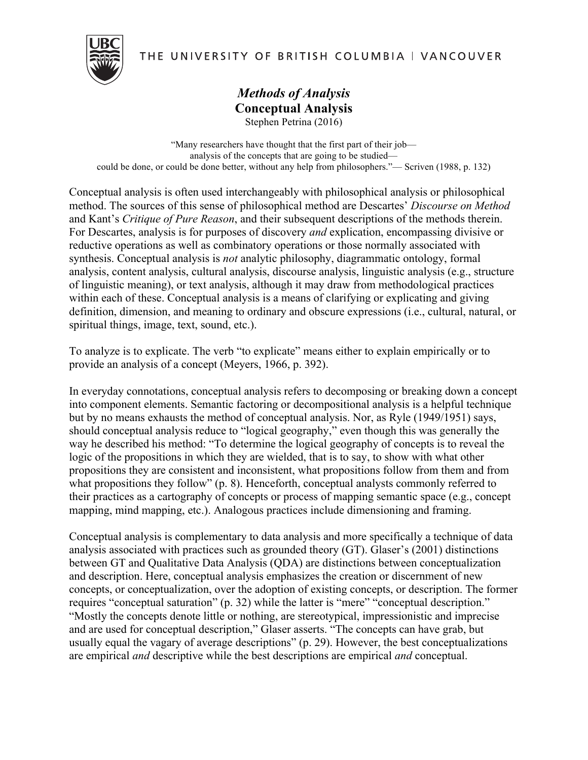

# THE UNIVERSITY OF BRITISH COLUMBIA | VANCOUVER

## *Methods of Analysis* **Conceptual Analysis** Stephen Petrina (2016)

"Many researchers have thought that the first part of their job analysis of the concepts that are going to be studied could be done, or could be done better, without any help from philosophers."— Scriven (1988, p. 132)

Conceptual analysis is often used interchangeably with philosophical analysis or philosophical method. The sources of this sense of philosophical method are Descartes' *Discourse on Method* and Kant's *Critique of Pure Reason*, and their subsequent descriptions of the methods therein. For Descartes, analysis is for purposes of discovery *and* explication, encompassing divisive or reductive operations as well as combinatory operations or those normally associated with synthesis. Conceptual analysis is *not* analytic philosophy, diagrammatic ontology, formal analysis, content analysis, cultural analysis, discourse analysis, linguistic analysis (e.g., structure of linguistic meaning), or text analysis, although it may draw from methodological practices within each of these. Conceptual analysis is a means of clarifying or explicating and giving definition, dimension, and meaning to ordinary and obscure expressions (i.e., cultural, natural, or spiritual things, image, text, sound, etc.).

To analyze is to explicate. The verb "to explicate" means either to explain empirically or to provide an analysis of a concept (Meyers, 1966, p. 392).

In everyday connotations, conceptual analysis refers to decomposing or breaking down a concept into component elements. Semantic factoring or decompositional analysis is a helpful technique but by no means exhausts the method of conceptual analysis. Nor, as Ryle (1949/1951) says, should conceptual analysis reduce to "logical geography," even though this was generally the way he described his method: "To determine the logical geography of concepts is to reveal the logic of the propositions in which they are wielded, that is to say, to show with what other propositions they are consistent and inconsistent, what propositions follow from them and from what propositions they follow" (p. 8). Henceforth, conceptual analysts commonly referred to their practices as a cartography of concepts or process of mapping semantic space (e.g., concept mapping, mind mapping, etc.). Analogous practices include dimensioning and framing.

Conceptual analysis is complementary to data analysis and more specifically a technique of data analysis associated with practices such as grounded theory (GT). Glaser's (2001) distinctions between GT and Qualitative Data Analysis (QDA) are distinctions between conceptualization and description. Here, conceptual analysis emphasizes the creation or discernment of new concepts, or conceptualization, over the adoption of existing concepts, or description. The former requires "conceptual saturation" (p. 32) while the latter is "mere" "conceptual description." "Mostly the concepts denote little or nothing, are stereotypical, impressionistic and imprecise and are used for conceptual description," Glaser asserts. "The concepts can have grab, but usually equal the vagary of average descriptions" (p. 29). However, the best conceptualizations are empirical *and* descriptive while the best descriptions are empirical *and* conceptual.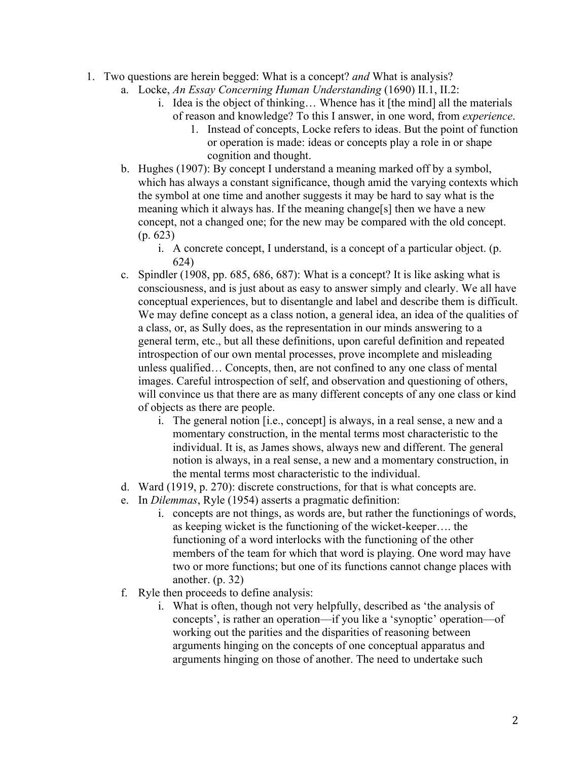- 1. Two questions are herein begged: What is a concept? *and* What is analysis?
	- a. Locke, *An Essay Concerning Human Understanding* (1690) II.1, II.2:
		- i. Idea is the object of thinking… Whence has it [the mind] all the materials of reason and knowledge? To this I answer, in one word, from *experience*.
			- 1. Instead of concepts, Locke refers to ideas. But the point of function or operation is made: ideas or concepts play a role in or shape cognition and thought.
	- b. Hughes (1907): By concept I understand a meaning marked off by a symbol, which has always a constant significance, though amid the varying contexts which the symbol at one time and another suggests it may be hard to say what is the meaning which it always has. If the meaning change[s] then we have a new concept, not a changed one; for the new may be compared with the old concept. (p. 623)
		- i. A concrete concept, I understand, is a concept of a particular object. (p. 624)
	- c. Spindler (1908, pp. 685, 686, 687): What is a concept? It is like asking what is consciousness, and is just about as easy to answer simply and clearly. We all have conceptual experiences, but to disentangle and label and describe them is difficult. We may define concept as a class notion, a general idea, an idea of the qualities of a class, or, as Sully does, as the representation in our minds answering to a general term, etc., but all these definitions, upon careful definition and repeated introspection of our own mental processes, prove incomplete and misleading unless qualified… Concepts, then, are not confined to any one class of mental images. Careful introspection of self, and observation and questioning of others, will convince us that there are as many different concepts of any one class or kind of objects as there are people.
		- i. The general notion [i.e., concept] is always, in a real sense, a new and a momentary construction, in the mental terms most characteristic to the individual. It is, as James shows, always new and different. The general notion is always, in a real sense, a new and a momentary construction, in the mental terms most characteristic to the individual.
	- d. Ward (1919, p. 270): discrete constructions, for that is what concepts are.
	- e. In *Dilemmas*, Ryle (1954) asserts a pragmatic definition:
		- i. concepts are not things, as words are, but rather the functionings of words, as keeping wicket is the functioning of the wicket-keeper…. the functioning of a word interlocks with the functioning of the other members of the team for which that word is playing. One word may have two or more functions; but one of its functions cannot change places with another. (p. 32)
	- f. Ryle then proceeds to define analysis:
		- i. What is often, though not very helpfully, described as 'the analysis of concepts', is rather an operation—if you like a 'synoptic' operation—of working out the parities and the disparities of reasoning between arguments hinging on the concepts of one conceptual apparatus and arguments hinging on those of another. The need to undertake such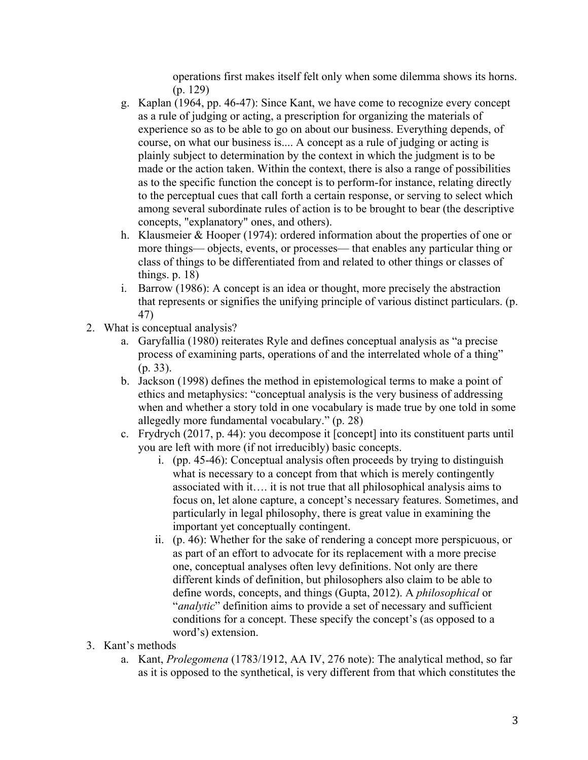operations first makes itself felt only when some dilemma shows its horns. (p. 129)

- g. Kaplan (1964, pp. 46-47): Since Kant, we have come to recognize every concept as a rule of judging or acting, a prescription for organizing the materials of experience so as to be able to go on about our business. Everything depends, of course, on what our business is.... A concept as a rule of judging or acting is plainly subject to determination by the context in which the judgment is to be made or the action taken. Within the context, there is also a range of possibilities as to the specific function the concept is to perform-for instance, relating directly to the perceptual cues that call forth a certain response, or serving to select which among several subordinate rules of action is to be brought to bear (the descriptive concepts, "explanatory" ones, and others).
- h. Klausmeier & Hooper (1974): ordered information about the properties of one or more things— objects, events, or processes— that enables any particular thing or class of things to be differentiated from and related to other things or classes of things. p. 18)
- i. Barrow (1986): A concept is an idea or thought, more precisely the abstraction that represents or signifies the unifying principle of various distinct particulars. (p. 47)
- 2. What is conceptual analysis?
	- a. Garyfallia (1980) reiterates Ryle and defines conceptual analysis as "a precise process of examining parts, operations of and the interrelated whole of a thing" (p. 33).
	- b. Jackson (1998) defines the method in epistemological terms to make a point of ethics and metaphysics: "conceptual analysis is the very business of addressing when and whether a story told in one vocabulary is made true by one told in some allegedly more fundamental vocabulary." (p. 28)
	- c. Frydrych (2017, p. 44): you decompose it [concept] into its constituent parts until you are left with more (if not irreducibly) basic concepts.
		- i. (pp. 45-46): Conceptual analysis often proceeds by trying to distinguish what is necessary to a concept from that which is merely contingently associated with it…. it is not true that all philosophical analysis aims to focus on, let alone capture, a concept's necessary features. Sometimes, and particularly in legal philosophy, there is great value in examining the important yet conceptually contingent.
		- ii. (p. 46): Whether for the sake of rendering a concept more perspicuous, or as part of an effort to advocate for its replacement with a more precise one, conceptual analyses often levy definitions. Not only are there different kinds of definition, but philosophers also claim to be able to define words, concepts, and things (Gupta, 2012). A *philosophical* or "*analytic*" definition aims to provide a set of necessary and sufficient conditions for a concept. These specify the concept's (as opposed to a word's) extension.
- 3. Kant's methods
	- a. Kant, *Prolegomena* (1783/1912, AA IV, 276 note): The analytical method, so far as it is opposed to the synthetical, is very different from that which constitutes the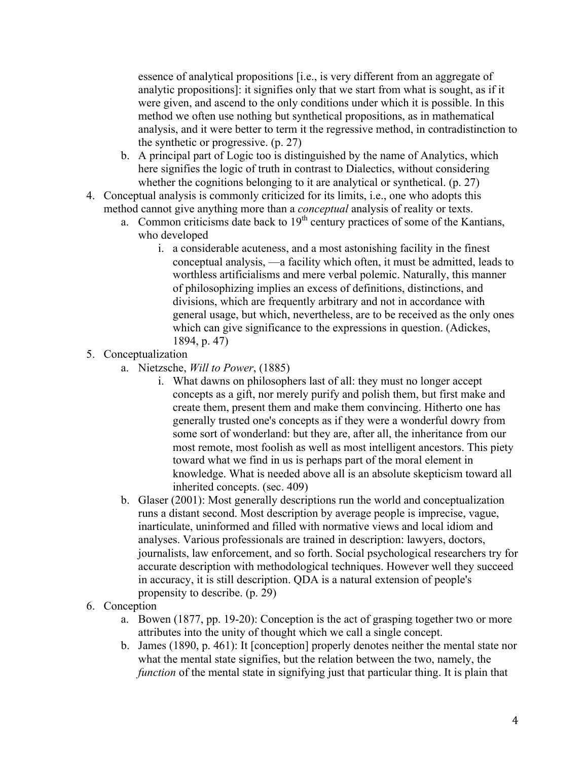essence of analytical propositions [i.e., is very different from an aggregate of analytic propositions]: it signifies only that we start from what is sought, as if it were given, and ascend to the only conditions under which it is possible. In this method we often use nothing but synthetical propositions, as in mathematical analysis, and it were better to term it the regressive method, in contradistinction to the synthetic or progressive. (p. 27)

- b. A principal part of Logic too is distinguished by the name of Analytics, which here signifies the logic of truth in contrast to Dialectics, without considering whether the cognitions belonging to it are analytical or synthetical. (p. 27)
- 4. Conceptual analysis is commonly criticized for its limits, i.e., one who adopts this method cannot give anything more than a *conceptual* analysis of reality or texts.
	- a. Common criticisms date back to  $19<sup>th</sup>$  century practices of some of the Kantians, who developed
		- i. a considerable acuteness, and a most astonishing facility in the finest conceptual analysis, —a facility which often, it must be admitted, leads to worthless artificialisms and mere verbal polemic. Naturally, this manner of philosophizing implies an excess of definitions, distinctions, and divisions, which are frequently arbitrary and not in accordance with general usage, but which, nevertheless, are to be received as the only ones which can give significance to the expressions in question. (Adickes, 1894, p. 47)
- 5. Conceptualization
	- a. Nietzsche, *Will to Power*, (1885)
		- i. What dawns on philosophers last of all: they must no longer accept concepts as a gift, nor merely purify and polish them, but first make and create them, present them and make them convincing. Hitherto one has generally trusted one's concepts as if they were a wonderful dowry from some sort of wonderland: but they are, after all, the inheritance from our most remote, most foolish as well as most intelligent ancestors. This piety toward what we find in us is perhaps part of the moral element in knowledge. What is needed above all is an absolute skepticism toward all inherited concepts. (sec. 409)
	- b. Glaser (2001): Most generally descriptions run the world and conceptualization runs a distant second. Most description by average people is imprecise, vague, inarticulate, uninformed and filled with normative views and local idiom and analyses. Various professionals are trained in description: lawyers, doctors, journalists, law enforcement, and so forth. Social psychological researchers try for accurate description with methodological techniques. However well they succeed in accuracy, it is still description. QDA is a natural extension of people's propensity to describe. (p. 29)
- 6. Conception
	- a. Bowen (1877, pp. 19-20): Conception is the act of grasping together two or more attributes into the unity of thought which we call a single concept.
	- b. James (1890, p. 461): It [conception] properly denotes neither the mental state nor what the mental state signifies, but the relation between the two, namely, the *function* of the mental state in signifying just that particular thing. It is plain that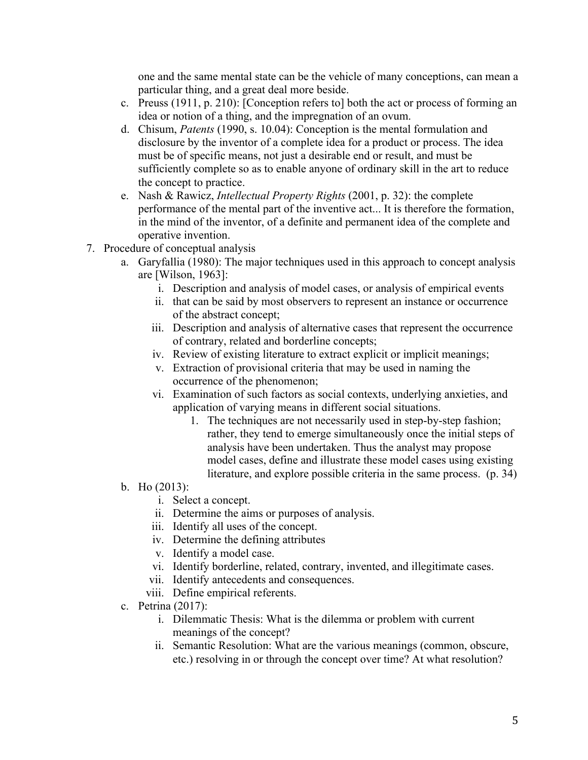one and the same mental state can be the vehicle of many conceptions, can mean a particular thing, and a great deal more beside.

- c. Preuss (1911, p. 210): [Conception refers to] both the act or process of forming an idea or notion of a thing, and the impregnation of an ovum.
- d. Chisum, *Patents* (1990, s. 10.04): Conception is the mental formulation and disclosure by the inventor of a complete idea for a product or process. The idea must be of specific means, not just a desirable end or result, and must be sufficiently complete so as to enable anyone of ordinary skill in the art to reduce the concept to practice.
- e. Nash & Rawicz, *Intellectual Property Rights* (2001, p. 32): the complete performance of the mental part of the inventive act... It is therefore the formation, in the mind of the inventor, of a definite and permanent idea of the complete and operative invention.
- 7. Procedure of conceptual analysis
	- a. Garyfallia (1980): The major techniques used in this approach to concept analysis are [Wilson, 1963]:
		- i. Description and analysis of model cases, or analysis of empirical events
		- ii. that can be said by most observers to represent an instance or occurrence of the abstract concept;
		- iii. Description and analysis of alternative cases that represent the occurrence of contrary, related and borderline concepts;
		- iv. Review of existing literature to extract explicit or implicit meanings;
		- v. Extraction of provisional criteria that may be used in naming the occurrence of the phenomenon;
		- vi. Examination of such factors as social contexts, underlying anxieties, and application of varying means in different social situations.
			- 1. The techniques are not necessarily used in step-by-step fashion; rather, they tend to emerge simultaneously once the initial steps of analysis have been undertaken. Thus the analyst may propose model cases, define and illustrate these model cases using existing literature, and explore possible criteria in the same process. (p. 34)
	- b. Ho (2013):
		- i. Select a concept.
		- ii. Determine the aims or purposes of analysis.
		- iii. Identify all uses of the concept.
		- iv. Determine the defining attributes
		- v. Identify a model case.
		- vi. Identify borderline, related, contrary, invented, and illegitimate cases.
		- vii. Identify antecedents and consequences.
		- viii. Define empirical referents.
	- c. Petrina (2017):
		- i. Dilemmatic Thesis: What is the dilemma or problem with current meanings of the concept?
		- ii. Semantic Resolution: What are the various meanings (common, obscure, etc.) resolving in or through the concept over time? At what resolution?